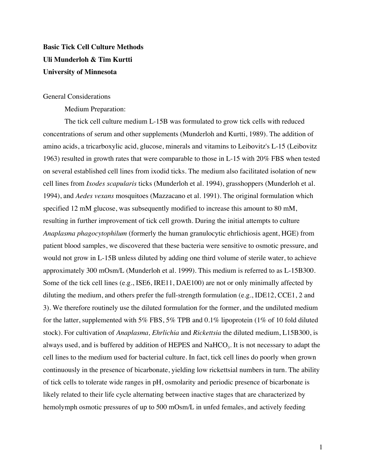# **Basic Tick Cell Culture Methods Uli Munderloh & Tim Kurtti University of Minnesota**

#### General Considerations

Medium Preparation:

The tick cell culture medium L-15B was formulated to grow tick cells with reduced concentrations of serum and other supplements (Munderloh and Kurtti, 1989). The addition of amino acids, a tricarboxylic acid, glucose, minerals and vitamins to Leibovitz's L-15 (Leibovitz 1963) resulted in growth rates that were comparable to those in L-15 with 20% FBS when tested on several established cell lines from ixodid ticks. The medium also facilitated isolation of new cell lines from *Ixodes scapularis* ticks (Munderloh et al. 1994), grasshoppers (Munderloh et al. 1994), and *Aedes vexans* mosquitoes (Mazzacano et al. 1991). The original formulation which specified 12 mM glucose, was subsequently modified to increase this amount to 80 mM, resulting in further improvement of tick cell growth. During the initial attempts to culture *Anaplasma phagocytophilum* (formerly the human granulocytic ehrlichiosis agent, HGE) from patient blood samples, we discovered that these bacteria were sensitive to osmotic pressure, and would not grow in L-15B unless diluted by adding one third volume of sterile water, to achieve approximately 300 mOsm/L (Munderloh et al. 1999). This medium is referred to as L-15B300. Some of the tick cell lines (e.g., ISE6, IRE11, DAE100) are not or only minimally affected by diluting the medium, and others prefer the full-strength formulation (e.g., IDE12, CCE1, 2 and 3). We therefore routinely use the diluted formulation for the former, and the undiluted medium for the latter, supplemented with 5% FBS, 5% TPB and 0.1% lipoprotein (1% of 10 fold diluted stock). For cultivation of *Anaplasma, Ehrlichia* and *Rickettsia* the diluted medium, L15B300, is always used, and is buffered by addition of HEPES and  $NaHCO<sub>3</sub>$ . It is not necessary to adapt the cell lines to the medium used for bacterial culture. In fact, tick cell lines do poorly when grown continuously in the presence of bicarbonate, yielding low rickettsial numbers in turn. The ability of tick cells to tolerate wide ranges in pH, osmolarity and periodic presence of bicarbonate is likely related to their life cycle alternating between inactive stages that are characterized by hemolymph osmotic pressures of up to 500 mOsm/L in unfed females, and actively feeding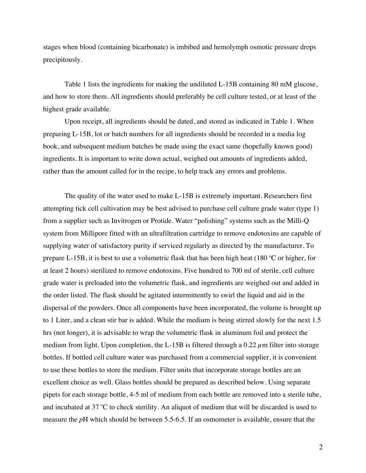stages when blood (containing bicarbonate) is imbibed and hemolymph osmotic pressure drops precipitously.

Table 1 lists the ingredients for making the undiluted L-15B containing 80 mM glucose, and how to store them. All ingredients should preferably be cell culture tested, or at least of the highest grade available.

Upon receipt, all ingredients should be dated, and stored as indicated in Table 1. When preparing L-15B, lot or batch numbers for all ingredients should be recorded in a media log book, and subsequent medium batches be made using the exact same (hopefully known good) ingredients. It is important to write down actual, weighed out amounts of ingredients added, rather than the amount called for in the recipe, to help track any errors and problems.

The quality of the water used to make L-15B is extremely important. Researchers first attempting tick cell cultivation may be best advised to purchase cell culture grade water (type 1) from a supplier such as Invitrogen or Protide. Water "polishing" systems such as the Milli-Q system from Millipore fitted with an ultrafiltration cartridge to remove endotoxins are capable of supplying water of satisfactory purity if serviced regularly as directed by the manufacturer. To prepare L-15B, it is best to use a volumetric flask that has been high heat  $(180 °C)$  or higher, for at least 2 hours) sterilized to remove endotoxins. Five hundred to 700 ml of sterile, cell culture grade water is preloaded into the volumetric flask, and ingredients are weighed out and added in the order listed. The flask should be agitated intermittently to swirl the liquid and aid in the dispersal of the powders. Once all components have been incorporated, the volume is brought up to 1 Liter, and a clean stir bar is added. While the medium is being stirred slowly for the next 1.5 hrs (not longer), it is advisable to wrap the volumetric flask in aluminum foil and protect the medium from light. Upon completion, the L-15B is filtered through a 0.22  $\mu$ m filter into storage bottles. If bottled cell culture water was purchased from a commercial supplier, it is convenient to use these bottles to store the medium. Filter units that incorporate storage bottles are an excellent choice as well. Glass bottles should be prepared as described below. Using separate pipets for each storage bottle, 4-5 ml of medium from each bottle are removed into a sterile tube, and incubated at 37  $\rm{°C}$  to check sterility. An aliquot of medium that will be discarded is used to measure the *p*H which should be between 5.5-6.5. If an osmometer is available, ensure that the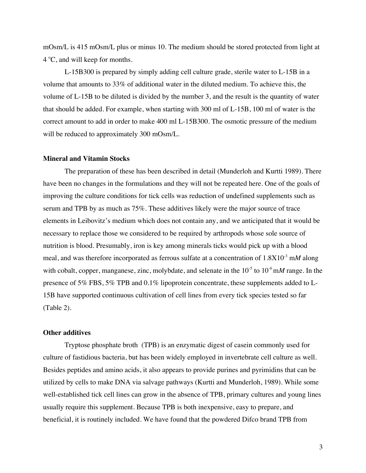mOsm/L is 415 mOsm/L plus or minus 10. The medium should be stored protected from light at  $4^{\circ}$ C, and will keep for months.

L-15B300 is prepared by simply adding cell culture grade, sterile water to L-15B in a volume that amounts to 33% of additional water in the diluted medium. To achieve this, the volume of L-15B to be diluted is divided by the number 3, and the result is the quantity of water that should be added. For example, when starting with 300 ml of L-15B, 100 ml of water is the correct amount to add in order to make 400 ml L-15B300. The osmotic pressure of the medium will be reduced to approximately 300 mOsm/L.

#### **Mineral and Vitamin Stocks**

The preparation of these has been described in detail (Munderloh and Kurtti 1989). There have been no changes in the formulations and they will not be repeated here. One of the goals of improving the culture conditions for tick cells was reduction of undefined supplements such as serum and TPB by as much as 75%. These additives likely were the major source of trace elements in Leibovitz's medium which does not contain any, and we anticipated that it would be necessary to replace those we considered to be required by arthropods whose sole source of nutrition is blood. Presumably, iron is key among minerals ticks would pick up with a blood meal, and was therefore incorporated as ferrous sulfate at a concentration of  $1.8X10^{-3}$  mM along with cobalt, copper, manganese, zinc, molybdate, and selenate in the 10<sup>-5</sup> to 10<sup>-6</sup> mM range. In the presence of 5% FBS, 5% TPB and 0.1% lipoprotein concentrate, these supplements added to L-15B have supported continuous cultivation of cell lines from every tick species tested so far (Table 2).

#### **Other additives**

Tryptose phosphate broth (TPB) is an enzymatic digest of casein commonly used for culture of fastidious bacteria, but has been widely employed in invertebrate cell culture as well. Besides peptides and amino acids, it also appears to provide purines and pyrimidins that can be utilized by cells to make DNA via salvage pathways (Kurtti and Munderloh, 1989). While some well-established tick cell lines can grow in the absence of TPB, primary cultures and young lines usually require this supplement. Because TPB is both inexpensive, easy to prepare, and beneficial, it is routinely included. We have found that the powdered Difco brand TPB from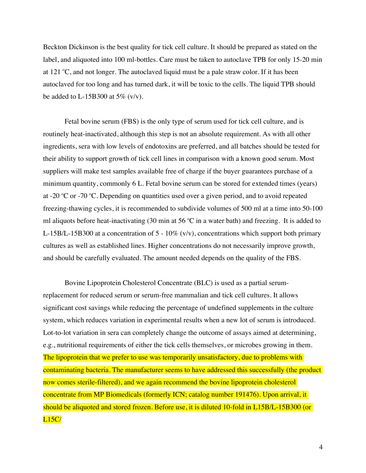Beckton Dickinson is the best quality for tick cell culture. It should be prepared as stated on the label, and aliquoted into 100 ml-bottles. Care must be taken to autoclave TPB for only 15-20 min at 121  $\degree$ C, and not longer. The autoclaved liquid must be a pale straw color. If it has been autoclaved for too long and has turned dark, it will be toxic to the cells. The liquid TPB should be added to L-15B300 at 5%  $(v/v)$ .

Fetal bovine serum (FBS) is the only type of serum used for tick cell culture, and is routinely heat-inactivated, although this step is not an absolute requirement. As with all other ingredients, sera with low levels of endotoxins are preferred, and all batches should be tested for their ability to support growth of tick cell lines in comparison with a known good serum. Most suppliers will make test samples available free of charge if the buyer guarantees purchase of a minimum quantity, commonly 6 L. Fetal bovine serum can be stored for extended times (years) at -20  $^{\circ}$ C or -70  $^{\circ}$ C. Depending on quantities used over a given period, and to avoid repeated freezing-thawing cycles, it is recommended to subdivide volumes of 500 ml at a time into 50-100 ml aliquots before heat-inactivating (30 min at 56  $^{\circ}$ C in a water bath) and freezing. It is added to L-15B/L-15B300 at a concentration of  $5 - 10\%$  (v/v), concentrations which support both primary cultures as well as established lines. Higher concentrations do not necessarily improve growth, and should be carefully evaluated. The amount needed depends on the quality of the FBS.

Bovine Lipoprotein Cholesterol Concentrate (BLC) is used as a partial serumreplacement for reduced serum or serum-free mammalian and tick cell cultures. It allows significant cost savings while reducing the percentage of undefined supplements in the culture system, which reduces variation in experimental results when a new lot of serum is introduced. Lot-to-lot variation in sera can completely change the outcome of assays aimed at determining, e.g., nutritional requirements of either the tick cells themselves, or microbes growing in them. The lipoprotein that we prefer to use was temporarily unsatisfactory, due to problems with contaminating bacteria. The manufacturer seems to have addressed this successfully (the product now comes sterile-filtered), and we again recommend the bovine lipoprotein cholesterol concentrate from MP Biomedicals (formerly ICN; catalog number 191476). Upon arrival, it should be aliquoted and stored frozen. Before use, it is diluted 10-fold in L15B/L-15B300 (or L15C/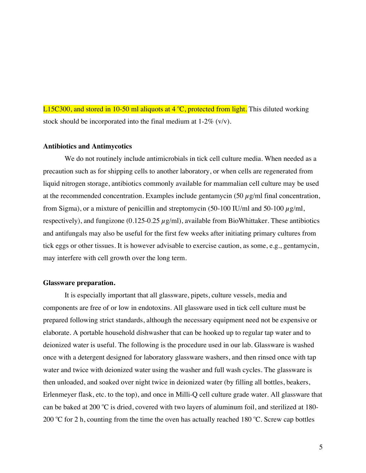L15C300, and stored in 10-50 ml aliquots at 4 °C, protected from light. This diluted working stock should be incorporated into the final medium at  $1-2\%$  (v/v).

#### **Antibiotics and Antimycotics**

We do not routinely include antimicrobials in tick cell culture media. When needed as a precaution such as for shipping cells to another laboratory, or when cells are regenerated from liquid nitrogen storage, antibiotics commonly available for mammalian cell culture may be used at the recommended concentration. Examples include gentamycin  $(50 \mu g/ml$  final concentration, from Sigma), or a mixture of penicillin and streptomycin (50-100 IU/ml and 50-100  $\mu$ g/ml, respectively), and fungizone (0.125-0.25  $\mu$ g/ml), available from BioWhittaker. These antibiotics and antifungals may also be useful for the first few weeks after initiating primary cultures from tick eggs or other tissues. It is however advisable to exercise caution, as some, e.g., gentamycin, may interfere with cell growth over the long term.

#### **Glassware preparation.**

It is especially important that all glassware, pipets, culture vessels, media and components are free of or low in endotoxins. All glassware used in tick cell culture must be prepared following strict standards, although the necessary equipment need not be expensive or elaborate. A portable household dishwasher that can be hooked up to regular tap water and to deionized water is useful. The following is the procedure used in our lab. Glassware is washed once with a detergent designed for laboratory glassware washers, and then rinsed once with tap water and twice with deionized water using the washer and full wash cycles. The glassware is then unloaded, and soaked over night twice in deionized water (by filling all bottles, beakers, Erlenmeyer flask, etc. to the top), and once in Milli-Q cell culture grade water. All glassware that can be baked at 200 °C is dried, covered with two layers of aluminum foil, and sterilized at 180-200 °C for 2 h, counting from the time the oven has actually reached 180 °C. Screw cap bottles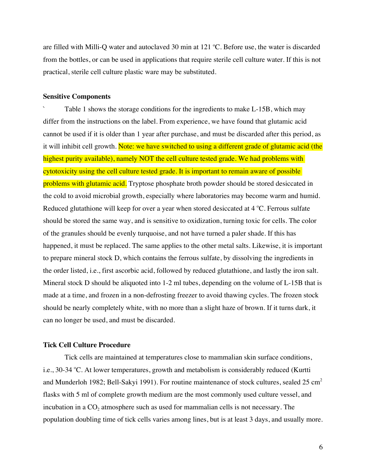are filled with Milli-Q water and autoclaved 30 min at  $121 \degree C$ . Before use, the water is discarded from the bottles, or can be used in applications that require sterile cell culture water. If this is not practical, sterile cell culture plastic ware may be substituted.

#### **Sensitive Components**

Table 1 shows the storage conditions for the ingredients to make L-15B, which may differ from the instructions on the label. From experience, we have found that glutamic acid cannot be used if it is older than 1 year after purchase, and must be discarded after this period, as it will inhibit cell growth. Note: we have switched to using a different grade of glutamic acid (the highest purity available), namely NOT the cell culture tested grade. We had problems with cytotoxicity using the cell culture tested grade. It is important to remain aware of possible problems with glutamic acid. Tryptose phosphate broth powder should be stored desiccated in the cold to avoid microbial growth, especially where laboratories may become warm and humid. Reduced glutathione will keep for over a year when stored desiccated at  $4^{\circ}$ C. Ferrous sulfate should be stored the same way, and is sensitive to oxidization, turning toxic for cells. The color of the granules should be evenly turquoise, and not have turned a paler shade. If this has happened, it must be replaced. The same applies to the other metal salts. Likewise, it is important to prepare mineral stock D, which contains the ferrous sulfate, by dissolving the ingredients in the order listed, i.e., first ascorbic acid, followed by reduced glutathione, and lastly the iron salt. Mineral stock D should be aliquoted into 1-2 ml tubes, depending on the volume of L-15B that is made at a time, and frozen in a non-defrosting freezer to avoid thawing cycles. The frozen stock should be nearly completely white, with no more than a slight haze of brown. If it turns dark, it can no longer be used, and must be discarded.

### **Tick Cell Culture Procedure**

Tick cells are maintained at temperatures close to mammalian skin surface conditions, i.e., 30-34 °C. At lower temperatures, growth and metabolism is considerably reduced (Kurtti and Munderloh 1982; Bell-Sakyi 1991). For routine maintenance of stock cultures, sealed  $25 \text{ cm}^2$ flasks with 5 ml of complete growth medium are the most commonly used culture vessel, and incubation in a CO<sub>2</sub> atmosphere such as used for mammalian cells is not necessary. The population doubling time of tick cells varies among lines, but is at least 3 days, and usually more.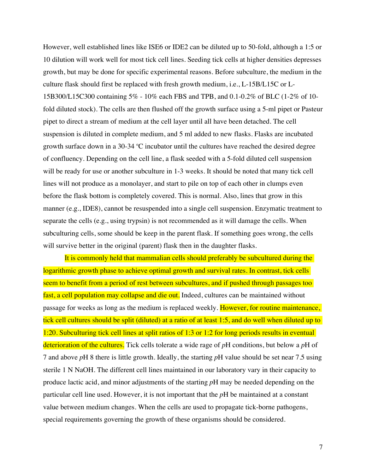However, well established lines like ISE6 or IDE2 can be diluted up to 50-fold, although a 1:5 or 10 dilution will work well for most tick cell lines. Seeding tick cells at higher densities depresses growth, but may be done for specific experimental reasons. Before subculture, the medium in the culture flask should first be replaced with fresh growth medium, i.e., L-15B/L15C or L-15B300/L15C300 containing 5% - 10% each FBS and TPB, and 0.1-0.2% of BLC (1-2% of 10 fold diluted stock). The cells are then flushed off the growth surface using a 5-ml pipet or Pasteur pipet to direct a stream of medium at the cell layer until all have been detached. The cell suspension is diluted in complete medium, and 5 ml added to new flasks. Flasks are incubated growth surface down in a 30-34  $°C$  incubator until the cultures have reached the desired degree of confluency. Depending on the cell line, a flask seeded with a 5-fold diluted cell suspension will be ready for use or another subculture in 1-3 weeks. It should be noted that many tick cell lines will not produce as a monolayer, and start to pile on top of each other in clumps even before the flask bottom is completely covered. This is normal. Also, lines that grow in this manner (e.g., IDE8), cannot be resuspended into a single cell suspension. Enzymatic treatment to separate the cells (e.g., using trypsin) is not recommended as it will damage the cells. When subculturing cells, some should be keep in the parent flask. If something goes wrong, the cells will survive better in the original (parent) flask then in the daughter flasks.

It is commonly held that mammalian cells should preferably be subcultured during the logarithmic growth phase to achieve optimal growth and survival rates. In contrast, tick cells seem to benefit from a period of rest between subcultures, and if pushed through passages too fast, a cell population may collapse and die out. Indeed, cultures can be maintained without passage for weeks as long as the medium is replaced weekly. However, for routine maintenance, tick cell cultures should be split (diluted) at a ratio of at least 1:5, and do well when diluted up to 1:20. Subculturing tick cell lines at split ratios of 1:3 or 1:2 for long periods results in eventual deterioration of the cultures. Tick cells tolerate a wide rage of *p*H conditions, but below a *p*H of 7 and above *p*H 8 there is little growth. Ideally, the starting *p*H value should be set near 7.5 using sterile 1 N NaOH. The different cell lines maintained in our laboratory vary in their capacity to produce lactic acid, and minor adjustments of the starting *p*H may be needed depending on the particular cell line used. However, it is not important that the *p*H be maintained at a constant value between medium changes. When the cells are used to propagate tick-borne pathogens, special requirements governing the growth of these organisms should be considered.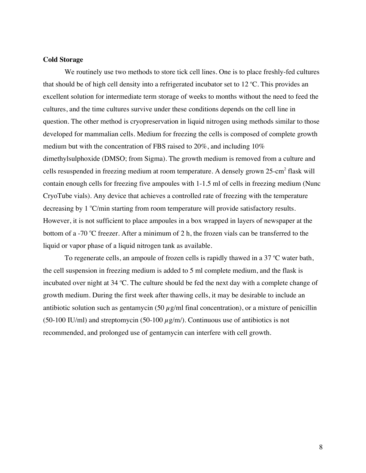#### **Cold Storage**

We routinely use two methods to store tick cell lines. One is to place freshly-fed cultures that should be of high cell density into a refrigerated incubator set to  $12 \degree C$ . This provides an excellent solution for intermediate term storage of weeks to months without the need to feed the cultures, and the time cultures survive under these conditions depends on the cell line in question. The other method is cryopreservation in liquid nitrogen using methods similar to those developed for mammalian cells. Medium for freezing the cells is composed of complete growth medium but with the concentration of FBS raised to 20%, and including 10% dimethylsulphoxide (DMSO; from Sigma). The growth medium is removed from a culture and cells resuspended in freezing medium at room temperature. A densely grown 25-cm<sup>2</sup> flask will contain enough cells for freezing five ampoules with 1-1.5 ml of cells in freezing medium (Nunc CryoTube vials). Any device that achieves a controlled rate of freezing with the temperature decreasing by 1 °C/min starting from room temperature will provide satisfactory results. However, it is not sufficient to place ampoules in a box wrapped in layers of newspaper at the bottom of a -70 °C freezer. After a minimum of 2 h, the frozen vials can be transferred to the liquid or vapor phase of a liquid nitrogen tank as available.

To regenerate cells, an ampoule of frozen cells is rapidly thawed in a 37  $\mathrm{C}$  water bath, the cell suspension in freezing medium is added to 5 ml complete medium, and the flask is incubated over night at 34 °C. The culture should be fed the next day with a complete change of growth medium. During the first week after thawing cells, it may be desirable to include an antibiotic solution such as gentamycin (50  $\mu$ g/ml final concentration), or a mixture of penicillin (50-100 IU/ml) and streptomycin (50-100  $\mu$ g/m/). Continuous use of antibiotics is not recommended, and prolonged use of gentamycin can interfere with cell growth.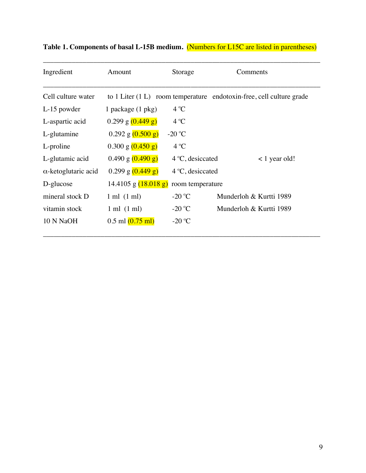| Ingredient                  | Amount                                       | Storage                   | Comments                                                                 |  |  |
|-----------------------------|----------------------------------------------|---------------------------|--------------------------------------------------------------------------|--|--|
| Cell culture water          |                                              |                           | to $1$ Liter $(1 L)$ room temperature endotoxin-free, cell culture grade |  |  |
| L-15 powder                 | 1 package (1 pkg)                            | $4^{\circ}C$              |                                                                          |  |  |
| L-aspartic acid             | $0.299$ g $(0.449)$ g)                       | $4^{\circ}C$              |                                                                          |  |  |
| L-glutamine                 | $0.292$ g $(0.500$ g)                        | -20 $^{\circ}$ C          |                                                                          |  |  |
| L-proline                   | $0.300$ g $(0.450$ g)                        | $4^{\circ}C$              |                                                                          |  |  |
| L-glutamic acid             | $0.490$ g $(0.490)$ g)                       | $4^{\circ}$ C, desiccated | $\langle$ 1 year old!                                                    |  |  |
| $\alpha$ -ketoglutaric acid | $0.299$ g $(0.449)$ g)                       | $4^{\circ}$ C, desiccated |                                                                          |  |  |
| D-glucose                   | $14.4105$ g $(18.018$ g)<br>room temperature |                           |                                                                          |  |  |
| mineral stock D             | $1 \text{ ml} (1 \text{ ml})$                | $-20$ °C                  | Munderloh & Kurtti 1989                                                  |  |  |
| vitamin stock               | $1 \text{ ml} (1 \text{ ml})$                | -20 $^{\circ}$ C          | Munderloh & Kurtti 1989                                                  |  |  |
| 10 N NaOH                   | $0.5$ ml $(0.75$ ml)                         | $-20$ °C                  |                                                                          |  |  |

\_\_\_\_\_\_\_\_\_\_\_\_\_\_\_\_\_\_\_\_\_\_\_\_\_\_\_\_\_\_\_\_\_\_\_\_\_\_\_\_\_\_\_\_\_\_\_\_\_\_\_\_\_\_\_\_\_\_\_\_\_\_\_\_\_\_\_\_\_\_\_\_\_\_\_\_\_

**Table 1. Components of basal L-15B medium.** (Numbers for L15C are listed in parentheses)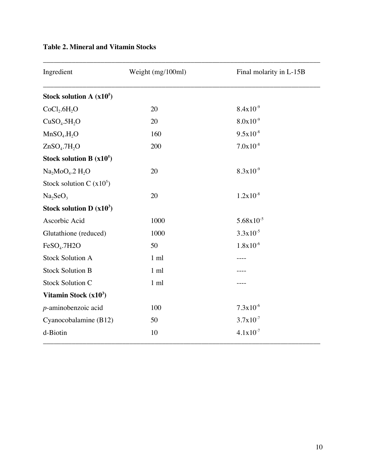| Ingredient                           | Weight (mg/100ml) | Final molarity in L-15B |
|--------------------------------------|-------------------|-------------------------|
| Stock solution A $(x10^5)$           |                   |                         |
| CoCl <sub>2</sub> .6H <sub>2</sub> O | 20                | $8.4x10^{-9}$           |
| CuSO <sub>4</sub> .5H <sub>2</sub> O | 20                | $8.0x10^{-9}$           |
| MnSO <sub>4</sub> .H <sub>2</sub> O  | 160               | $9.5x10^{-8}$           |
| ZnSO <sub>4</sub> .7H <sub>2</sub> O | 200               | $7.0x10^{-8}$           |
| Stock solution B $(x10^5)$           |                   |                         |
| $Na2MoO4$ .2 H <sub>2</sub> O        | 20                | $8.3x10^{-9}$           |
| Stock solution C $(x10^5)$           |                   |                         |
| Na <sub>2</sub> SeO <sub>3</sub>     | 20                | $1.2x10^{-8}$           |
| Stock solution D $(x10^3)$           |                   |                         |
| Ascorbic Acid                        | 1000              | $5.68 \times 10^{-5}$   |
| Glutathione (reduced)                | 1000              | $3.3x10^{-5}$           |
| FeSO <sub>4</sub> .7H2O              | 50                | $1.8x10^{-6}$           |
| <b>Stock Solution A</b>              | $1 \text{ ml}$    |                         |
| <b>Stock Solution B</b>              | $1 \text{ ml}$    |                         |
| <b>Stock Solution C</b>              | $1 \text{ ml}$    |                         |
| Vitamin Stock $(x10^3)$              |                   |                         |
| $p$ -aminobenzoic acid               | 100               | $7.3x10^{-6}$           |
| Cyanocobalamine (B12)                | 50                | $3.7x10^{-7}$           |
| d-Biotin                             | 10                | $4.1x10^{-7}$           |

# **Table 2. Mineral and Vitamin Stocks**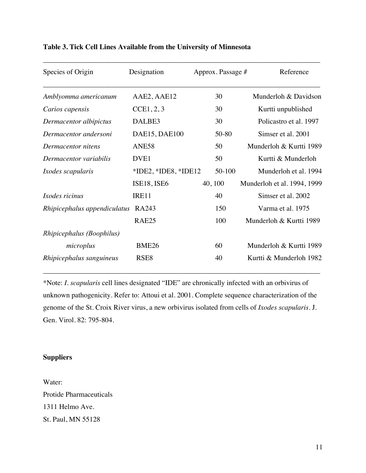| Species of Origin            | Designation            | Approx. Passage # | Reference                   |
|------------------------------|------------------------|-------------------|-----------------------------|
| Amblyomma americanum         | AAE2, AAE12            | 30                | Munderloh & Davidson        |
| Carios capensis              | CCE1, 2, 3             | 30                | Kurtti unpublished          |
| Dermacentor albipictus       | DALBE3                 | 30                | Policastro et al. 1997      |
| Dermacentor andersoni        | DAE15, DAE100          | 50-80             | Simser et al. 2001          |
| Dermacentor nitens           | ANE58                  | 50                | Munderloh & Kurtti 1989     |
| Dermacentor variabilis       | DVE <sub>1</sub>       | 50                | Kurtti & Munderloh          |
| <i>Ixodes scapularis</i>     | $*IDE2, *IDE8, *IDE12$ | $50 - 100$        | Munderloh et al. 1994       |
|                              | ISE18, ISE6            | 40, 100           | Munderloh et al. 1994, 1999 |
| <i>Ixodes ricinus</i>        | IRE11                  | 40                | Simser et al. 2002          |
| Rhipicephalus appendiculatus | RA243                  | 150               | Varma et al. 1975           |
|                              | RAE <sub>25</sub>      | 100               | Munderloh & Kurtti 1989     |
| Rhipicephalus (Boophilus)    |                        |                   |                             |
| microplus                    | <b>BME26</b>           | 60                | Munderloh & Kurtti 1989     |
| Rhipicephalus sanguineus     | RSE <sub>8</sub>       | 40                | Kurtti & Munderloh 1982     |

### **Table 3. Tick Cell Lines Available from the University of Minnesota**

\*Note: *I. scapularis* cell lines designated "IDE" are chronically infected with an orbivirus of unknown pathogenicity. Refer to: Attoui et al. 2001. Complete sequence characterization of the genome of the St. Croix River virus, a new orbivirus isolated from cells of *Ixodes scapularis*. J. Gen. Virol. 82: 795-804.

## **Suppliers**

Water: Protide Pharmaceuticals 1311 Helmo Ave. St. Paul, MN 55128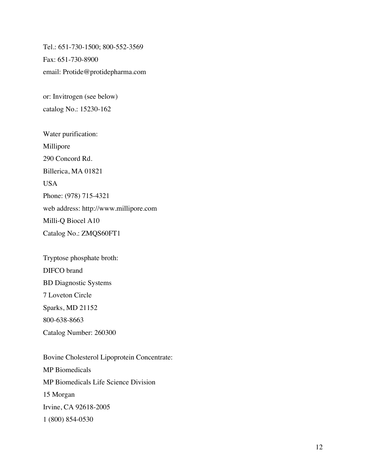Tel.: 651-730-1500; 800-552-3569 Fax: 651-730-8900 email: Protide@protidepharma.com

or: Invitrogen (see below) catalog No.: 15230-162

Water purification: Millipore 290 Concord Rd. Billerica, MA 01821 USA Phone: (978) 715-4321 web address: http://www.millipore.com Milli-Q Biocel A10 Catalog No.: ZMQS60FT1

Tryptose phosphate broth: DIFCO brand BD Diagnostic Systems 7 Loveton Circle Sparks, MD 21152 800-638-8663 Catalog Number: 260300

Bovine Cholesterol Lipoprotein Concentrate: MP Biomedicals MP Biomedicals Life Science Division 15 Morgan Irvine, CA 92618-2005 1 (800) 854-0530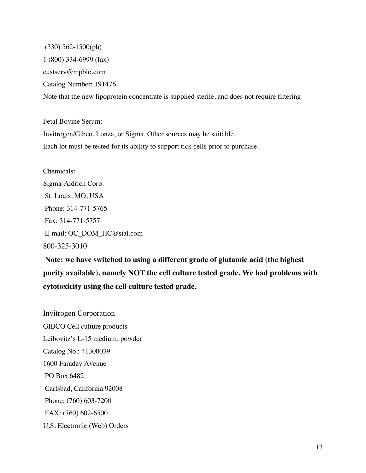(330) 562-1500(ph) 1 (800) 334-6999 (fax) custserv@mpbio.com Catalog Number: 191476 Note that the new lipoprotein concentrate is supplied sterile, and does not require filtering.

Fetal Bovine Serum: Invitrogen/Gibco, Lonza, or Sigma. Other sources may be suitable. Each lot must be tested for its ability to support tick cells prior to purchase.

Chemicals: Sigma-Aldrich Corp. St. Louis, MO, USA Phone: 314-771-5765 Fax: 314-771-5757 E-mail: OC\_DOM\_HC@sial.com 800-325-3010

 **Note: we have switched to using a different grade of glutamic acid (the highest purity available), namely NOT the cell culture tested grade. We had problems with cytotoxicity using the cell culture tested grade.**

Invitrogen Corporation GIBCO Cell culture products Leibovitz's L-15 medium, powder Catalog No.: 41300039 1600 Faraday Avenue PO Box 6482 Carlsbad, California 92008 Phone: (760) 603-7200 FAX: (760) 602-6500 U.S. Electronic (Web) Orders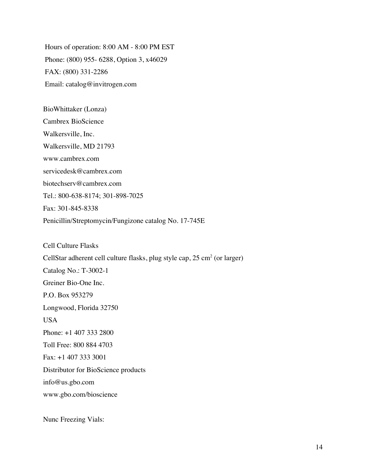Hours of operation: 8:00 AM - 8:00 PM EST Phone: (800) 955- 6288, Option 3, x46029 FAX: (800) 331-2286 Email: catalog@invitrogen.com

BioWhittaker (Lonza) Cambrex BioScience Walkersville, Inc. Walkersville, MD 21793 www.cambrex.com servicedesk@cambrex.com biotechserv@cambrex.com Tel.: 800-638-8174; 301-898-7025 Fax: 301-845-8338 Penicillin/Streptomycin/Fungizone catalog No. 17-745E

Cell Culture Flasks CellStar adherent cell culture flasks, plug style cap,  $25 \text{ cm}^2$  (or larger) Catalog No.: T-3002-1 Greiner Bio-One Inc. P.O. Box 953279 Longwood, Florida 32750 **USA** Phone: +1 407 333 2800 Toll Free: 800 884 4703 Fax: +1 407 333 3001 Distributor for BioScience products info@us.gbo.com www.gbo.com/bioscience

Nunc Freezing Vials: